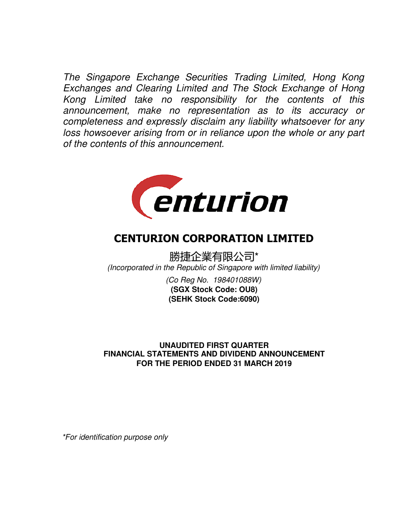The Singapore Exchange Securities Trading Limited, Hong Kong Exchanges and Clearing Limited and The Stock Exchange of Hong Kong Limited take no responsibility for the contents of this announcement, make no representation as to its accuracy or completeness and expressly disclaim any liability whatsoever for any loss howsoever arising from or in reliance upon the whole or any part of the contents of this announcement.



# CENTURION CORPORATION LIMITED

勝捷企業有限公司\* (Incorporated in the Republic of Singapore with limited liability)

> (Co Reg No. 198401088W) **(SEHK Stock Code:6090) (SGX Stock Code: OU8)**

## **UNAUDITED FIRST QUARTER FOR THE PERIOD ENDED 31 MARCH 2019 FINANCIAL STATEMENTS AND DIVIDEND ANNOUNCEMENT**

\*For identification purpose only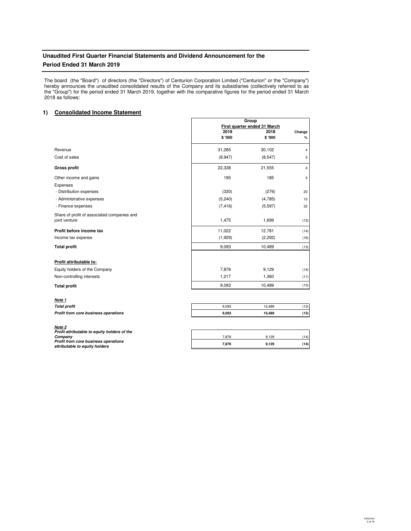## **Unaudited First Quarter Financial Statements and Dividend Announcement for the Period Ended 31 March 2019**

The board (the "Board") of directors (the "Directors") of Centurion Corporation Limited ("Centurion" or the "Company") hereby announces the unaudited consolidated results of the Company and its subsidiaries (collectively referred to as the "Group") for the period ended 31 March 2019, together with the comparative figures for the period ended 31 March 2018 as follows:

## **1) Consolidated Income Statement**

|                                                              | Group<br>First quarter ended 31 March |                |                |
|--------------------------------------------------------------|---------------------------------------|----------------|----------------|
|                                                              | 2019<br>\$ '000                       | 2018<br>\$'000 | Change<br>%    |
| Revenue                                                      | 31,285                                | 30,102         | 4              |
| Cost of sales                                                | (8,947)                               | (8, 547)       | 5              |
| <b>Gross profit</b>                                          | 22,338                                | 21,555         | $\overline{4}$ |
| Other income and gains                                       | 195                                   | 185            | 5              |
| Expenses<br>- Distribution expenses                          | (330)                                 | (276)          | 20             |
| - Administrative expenses                                    | (5, 240)                              | (4,785)        | 10             |
| - Finance expenses                                           | (7, 416)                              | (5,597)        | 32             |
| Share of profit of associated companies and<br>joint venture | 1,475                                 | 1,699          | (13)           |
| Profit before income tax                                     | 11,022                                | 12,781         | (14)           |
| Income tax expense                                           | (1,929)                               | (2,292)        | (16)           |
| <b>Total profit</b>                                          | 9,093                                 | 10,489         | (13)           |
| Profit attributable to:                                      |                                       |                |                |
| Equity holders of the Company                                | 7,876                                 | 9,129          | (14)           |
| Non-controlling interests                                    | 1,217                                 | 1,360          | (11)           |
| <b>Total profit</b>                                          | 9,093                                 | 10,489         | (13)           |

| Note 1                               |
|--------------------------------------|
| <b>Total profit</b>                  |
| Profit from core business operations |

**Note 2 Profit attributable to equity holders of the Profit from core business operations Company attributable to equity holders**

| Total profit                         | 9.093 | 10.489 | 13)  |
|--------------------------------------|-------|--------|------|
| Profit from core business operations | 9.093 | 10.489 | (13) |
|                                      |       |        |      |

| 876   | 9,129 | 11) |
|-------|-------|-----|
| 7,876 | 9,129 |     |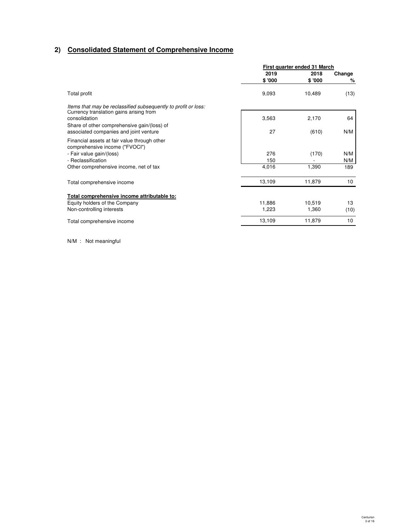## **2) Consolidated Statement of Comprehensive Income**

|                                                                                       | First quarter ended 31 March |        |        |
|---------------------------------------------------------------------------------------|------------------------------|--------|--------|
|                                                                                       | 2019                         | 2018   | Change |
|                                                                                       | \$'000                       | \$'000 | %      |
| Total profit                                                                          | 9,093                        | 10,489 | (13)   |
| Items that may be reclassified subsequently to profit or loss:                        |                              |        |        |
| Currency translation gains arising from<br>consolidation                              | 3,563                        | 2,170  | 64     |
| Share of other comprehensive gain/(loss) of<br>associated companies and joint venture | 27                           | (610)  | N/M    |
| Financial assets at fair value through other<br>comprehensive income ("FVOCI")        |                              |        |        |
| - Fair value gain/(loss)                                                              | 276                          | (170)  | N/M    |
| - Reclassification                                                                    | 150                          |        | N/M    |
| Other comprehensive income, net of tax                                                | 4,016                        | 1,390  | 189    |
| Total comprehensive income                                                            | 13,109                       | 11,879 | 10     |
| Total comprehensive income attributable to:                                           |                              |        |        |
| Equity holders of the Company                                                         | 11,886                       | 10,519 | 13     |
| Non-controlling interests                                                             | 1,223                        | 1,360  | (10)   |
| Total comprehensive income                                                            | 13,109                       | 11,879 | 10     |

N/M : Not meaningful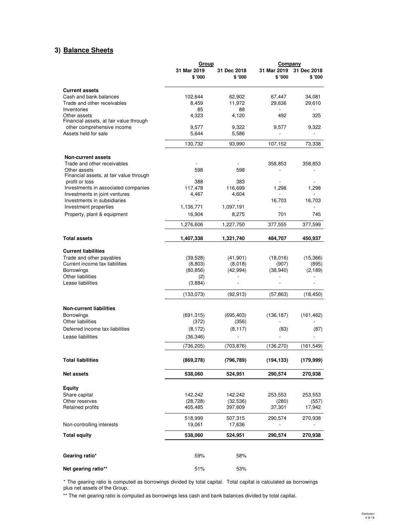## **3) Balance Sheets**

|                                                                      | Group                 |                        | Company               |                          |  |
|----------------------------------------------------------------------|-----------------------|------------------------|-----------------------|--------------------------|--|
|                                                                      | 31 Mar 2019<br>\$'000 | 31 Dec 2018<br>\$ '000 | 31 Mar 2019<br>\$'000 | 31 Dec 2018<br>\$'000    |  |
| <b>Current assets</b>                                                |                       |                        |                       |                          |  |
| Cash and bank balances                                               | 102,644               | 62,902                 | 67,447                | 34,081                   |  |
| Trade and other receivables                                          | 8.459                 | 11,972                 | 29,636                | 29,610                   |  |
| Inventories                                                          | 85                    | 88                     |                       |                          |  |
| Other assets<br>Financial assets, at fair value through              | 4,323                 | 4,120                  | 492                   | 325                      |  |
| other comprehensive income                                           | 9,577                 | 9,322                  | 9,577                 | 9,322                    |  |
| Assets held for sale                                                 | 5,644                 | 5,586                  | $\frac{1}{2}$         | $\overline{\phantom{a}}$ |  |
|                                                                      | 130,732               | 93,990                 | 107,152               | 73,338                   |  |
| <b>Non-current assets</b>                                            |                       |                        |                       |                          |  |
| Trade and other receivables                                          |                       |                        | 358,853               | 358,853                  |  |
| Other assets                                                         | 598                   | 598                    |                       |                          |  |
| Financial assets, at fair value through                              |                       |                        |                       |                          |  |
| profit or loss                                                       | 388                   | 383                    |                       |                          |  |
| Investments in associated companies<br>Investments in joint ventures | 117,478<br>4,467      | 116,699<br>4,604       | 1,298                 | 1,298                    |  |
| Investments in subsidiaries                                          |                       |                        | 16,703                | 16,703                   |  |
| Investment properties                                                | 1,136,771             | 1,097,191              |                       |                          |  |
| Property, plant & equipment                                          | 16.904                | 8,275                  | 701                   | 745                      |  |
|                                                                      | 1,276,606             | 1,227,750              | 377,555               | 377,599                  |  |
| <b>Total assets</b>                                                  | 1,407,338             | 1,321,740              | 484,707               | 450,937                  |  |
| <b>Current liabilities</b>                                           |                       |                        |                       |                          |  |
| Trade and other payables                                             | (39, 528)             | (41, 901)              | (18,016)              | (15, 366)                |  |
| Current income tax liabilities                                       | (8,803)               | (8,018)                | (907)                 | (895)                    |  |
| Borrowings                                                           | (80, 856)             | (42, 994)              | (38, 940)             | (2, 189)                 |  |
| Other liabilities<br>Lease liabilities                               | (2)<br>(3,884)        |                        |                       |                          |  |
|                                                                      | (133,073)             | (92, 913)              | (57, 863)             | (18, 450)                |  |
|                                                                      |                       |                        |                       |                          |  |
| <b>Non-current liabilities</b>                                       |                       |                        |                       |                          |  |
| Borrowings<br>Other liabilities                                      | (691, 315)            | (695, 403)             | (136, 187)            | (161, 462)               |  |
|                                                                      | (372)                 | (356)                  |                       |                          |  |
| Deferred income tax liabilities<br>Lease liabilities                 | (8, 172)<br>(36, 346) | (8, 117)               | (83)                  | (87)                     |  |
|                                                                      | (736,205)             | (703, 876)             | (136, 270)            | (161,549)                |  |
|                                                                      |                       |                        |                       |                          |  |
| <b>Total liabilities</b>                                             | (869, 278)            | (796, 789)             | (194, 133)            | (179, 999)               |  |
| <b>Net assets</b>                                                    | 538,060               | 524,951                | 290,574               | 270,938                  |  |
| <b>Equity</b>                                                        |                       |                        |                       |                          |  |
| Share capital                                                        | 142,242               | 142,242                | 253,553               | 253,553                  |  |
| Other reserves                                                       | (28, 728)             | (32, 536)              | (280)                 | (557)                    |  |
| Retained profits                                                     | 405,485               | 397,609                | 37,301                | 17,942                   |  |
|                                                                      | 518,999               | 507,315                | 290,574               | 270,938                  |  |
| Non-controlling interests                                            | 19,061                | 17,636                 |                       |                          |  |
| <b>Total equity</b>                                                  | 538,060               | 524,951                | 290,574               | 270,938                  |  |
| Gearing ratio*                                                       | 59%                   | 58%                    |                       |                          |  |
| Net gearing ratio**                                                  | 51%                   | 53%                    |                       |                          |  |

\* The gearing ratio is computed as borrowings divided by total capital. Total capital is calculated as borrowings plus net assets of the Group.

\*\* The net gearing ratio is computed as borrowings less cash and bank balances divided by total capital.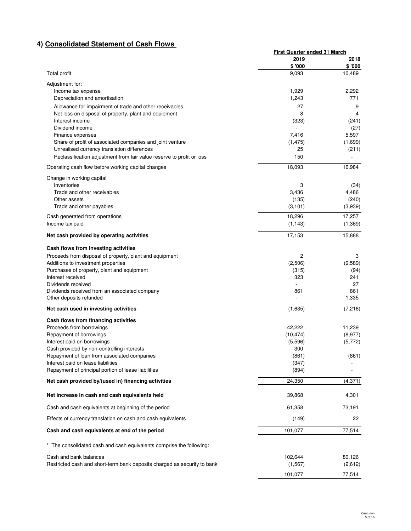# **4) Consolidated Statement of Cash Flows**

|                                                                               | First Quarter ended 31 March |                  |
|-------------------------------------------------------------------------------|------------------------------|------------------|
|                                                                               | 2019                         | 2018             |
| Total profit                                                                  | \$'000<br>9,093              | \$'000<br>10,489 |
| Adjustment for:                                                               |                              |                  |
| Income tax expense                                                            | 1,929                        | 2,292            |
| Depreciation and amortisation                                                 | 1,243                        | 771              |
| Allowance for impairment of trade and other receivables                       | 27                           | 9                |
| Net loss on disposal of property, plant and equipment                         | 8                            | 4                |
| Interest income                                                               | (323)                        | (241)            |
| Dividend income                                                               |                              | (27)             |
| Finance expenses<br>Share of profit of associated companies and joint venture | 7,416<br>(1, 475)            | 5,597<br>(1,699) |
| Unrealised currency translation differences                                   | 25                           | (211)            |
| Reclassification adjustment from fair value reserve to profit or loss         | 150                          |                  |
| Operating cash flow before working capital changes                            | 18,093                       | 16,984           |
| Change in working capital                                                     |                              |                  |
| Inventories                                                                   | 3                            | (34)             |
| Trade and other receivables                                                   | 3,436                        | 4,486            |
| Other assets                                                                  | (135)                        | (240)            |
| Trade and other payables                                                      | (3, 101)                     | (3,939)          |
| Cash generated from operations                                                | 18,296                       | 17,257           |
| Income tax paid                                                               | (1, 143)                     | (1, 369)         |
| Net cash provided by operating activities                                     | 17,153                       | 15,888           |
| Cash flows from investing activities                                          |                              |                  |
| Proceeds from disposal of property, plant and equipment                       | 2                            | 3                |
| Additions to investment properties                                            | (2,506)                      | (9,589)          |
| Purchases of property, plant and equipment                                    | (315)<br>323                 | (94)<br>241      |
| Interest received<br>Dividends received                                       |                              | 27               |
| Dividends received from an associated company                                 | 861                          | 861              |
| Other deposits refunded                                                       |                              | 1,335            |
| Net cash used in investing activities                                         | (1,635)                      | (7, 216)         |
| Cash flows from financing activities                                          |                              |                  |
| Proceeds from borrowings                                                      | 42,222                       | 11,239           |
| Repayment of borrowings                                                       | (10, 474)                    | (8,977)          |
| Interest paid on borrowings<br>Cash provided by non-controlling interests     | (5,596)<br>300               | (5,772)          |
| Repayment of loan from associated companies                                   | (861)                        | (861)            |
| Interest paid on lease liabilities                                            | (347)                        |                  |
| Repayment of principal portion of lease liabilities                           | (894)                        |                  |
| Net cash provided by/(used in) financing activities                           | 24,350                       | (4, 371)         |
| Net increase in cash and cash equivalents held                                | 39,868                       | 4,301            |
| Cash and cash equivalents at beginning of the period                          | 61,358                       | 73,191           |
| Effects of currency translation on cash and cash equivalents                  | (149)                        | 22               |
| Cash and cash equivalents at end of the period                                | 101,077                      | 77,514           |
| * The consolidated cash and cash equivalents comprise the following:          |                              |                  |
| Cash and bank balances                                                        | 102,644                      | 80,126           |
| Restricted cash and short-term bank deposits charged as security to bank      | (1, 567)                     | (2,612)          |
|                                                                               | 101,077                      | 77,514           |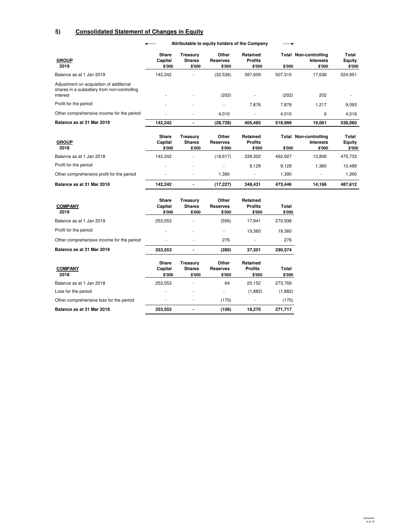# **5) Consolidated Statement of Changes in Equity**

#### $\leftarrow$ **Attributable to equity holders of the Company**

 $\longrightarrow$ 

| <b>GROUP</b><br>2019                                                                               | Share<br>Capital<br>\$'000 | Treasurv<br><b>Shares</b><br>\$'000 | Other<br><b>Reserves</b><br>\$'000 | Retained<br><b>Profits</b><br>\$'000 | \$'000  | Total Non-controlling<br><b>Interests</b><br>\$'000 | Total<br>Equity<br>\$'000 |
|----------------------------------------------------------------------------------------------------|----------------------------|-------------------------------------|------------------------------------|--------------------------------------|---------|-----------------------------------------------------|---------------------------|
| Balance as at 1 Jan 2019                                                                           | 142.242                    | ٠                                   | (32, 536)                          | 397.609                              | 507.315 | 17,636                                              | 524,951                   |
| Adjustment on acquisition of additional<br>shares in a subsidiary from non-controlling<br>interest | ۰                          | $\overline{\phantom{a}}$            | (202)                              |                                      | (202)   | 202                                                 |                           |
| Profit for the period                                                                              | ۰                          |                                     |                                    | 7.876                                | 7,876   | 1.217                                               | 9,093                     |
| Other comprehensive income for the period                                                          |                            | ٠                                   | 4.010                              | $\overline{\phantom{a}}$             | 4.010   | 6                                                   | 4.016                     |
| Balance as at 31 Mar 2019                                                                          | 142.242                    | -                                   | (28, 728)                          | 405.485                              | 518.999 | 19.061                                              | 538.060                   |

| <b>GROUP</b><br>2018                      | Share<br>Capital<br>\$'000 | Treasury<br><b>Shares</b><br>\$'000 | Other<br><b>Reserves</b><br>\$'000 | Retained<br><b>Profits</b><br>\$'000 | \$'000  | <b>Total Non-controlling</b><br><b>Interests</b><br>\$'000 | Total<br>Equity<br>\$'000 |
|-------------------------------------------|----------------------------|-------------------------------------|------------------------------------|--------------------------------------|---------|------------------------------------------------------------|---------------------------|
| Balance as at 1 Jan 2018                  | 142.242                    |                                     | (18, 617)                          | 339.302                              | 462.927 | 12.806                                                     | 475.733                   |
| Profit for the period                     |                            |                                     |                                    | 9.129                                | 9.129   | .360                                                       | 10,489                    |
| Other comprehensive profit for the period |                            |                                     | .390                               |                                      | 390. ا  |                                                            | 1.390                     |
| Balance as at 31 Mar 2018                 | 142.242                    |                                     | (17.227)                           | 348.431                              | 473.446 | 14,166                                                     | 487.612                   |

| <b>COMPANY</b><br>2019                    | Share<br>Capital<br>\$'000 | Treasurv<br><b>Shares</b><br>\$'000 | Other<br>Reserves<br>\$'000 | Retained<br><b>Profits</b><br>\$'000 | Total<br>\$'000 |
|-------------------------------------------|----------------------------|-------------------------------------|-----------------------------|--------------------------------------|-----------------|
| Balance as at 1 Jan 2019                  | 253,553                    | ۰                                   | (556)                       | 17.941                               | 270,938         |
| Profit for the period                     | ٠                          | $\overline{\phantom{a}}$            |                             | 19.360                               | 19,360          |
| Other comprehensive income for the period | ۰                          | ۰                                   | 276                         | ۰                                    | 276             |
| Balance as at 31 Mar 2019                 | 253,553                    |                                     | (280)                       | 37.301                               | 290,574         |
| <b>COMPANY</b>                            | Share<br>Capital           | Treasury<br><b>Shares</b>           | Other<br>Reserves           | Retained<br><b>Profits</b>           | Total           |

| vavnar<br>\$'000 | JIIGIC3<br>\$'000        | 116961 169<br>\$'000 | гічнэ<br>\$'000 | ινιαι<br>\$'000 |
|------------------|--------------------------|----------------------|-----------------|-----------------|
| 253.553          | ٠                        | 64                   | 20.152          | 273,769         |
| ۰.               | $\overline{\phantom{a}}$ | ٠                    | (1.882)         | (1,882)         |
| ٠                | ٠                        | (170)                |                 | (170)           |
| 253,553          | $\blacksquare$           | (106)                | 18.270          | 271,717         |
|                  |                          |                      |                 |                 |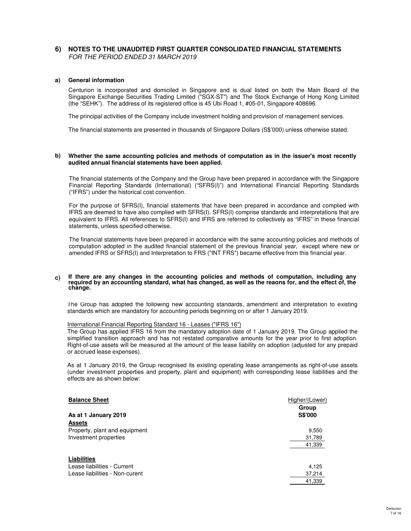## **6) NOTES TO THE UNAUDITED FIRST QUARTER CONSOLIDATED FINANCIAL STATEMENTS** FOR THE PERIOD ENDED 31 MARCH 2019

## **a) General information**

Centurion is incorporated and domiciled in Singapore and is dual listed on both the Main Board of the Singapore Exchange Securities Trading Limited ("SGX-ST") and The Stock Exchange of Hong Kong Limited (the "SEHK"). The address of its registered office is 45 Ubi Road 1, #05-01, Singapore 408696.

The principal activities of the Company include investment holding and provision of management services.

The financial statements are presented in thousands of Singapore Dollars (S\$'000) unless otherwise stated.

#### **b) Whether the same accounting policies and methods of computation as in the issuer's most recently audited annual financial statements have been applied.**

The financial statements of the Company and the Group have been prepared in accordance with the Singapore Financial Reporting Standards (International) ("SFRS(I)") and International Financial Reporting Standards ("IFRS") under the historical cost convention.

For the purpose of SFRS(I), financial statements that have been prepared in accordance and complied with IFRS are deemed to have also complied with SFRS(I). SFRS(I) comprise standards and interpretations that are equivalent to IFRS. All references to SFRS(I) and IFRS are referred to collectively as "IFRS" in these financial statements, unless specified otherwise.

The financial statements have been prepared in accordance with the same accounting policies and methods of computation adopted in the audited financial statement of the previous financial year, except where new or amended IFRS or SFRS(I) and Interpretation to FRS ("INT FRS") became effective from this financial year.

#### **c) If there are any changes in the accounting policies and methods of computation, including any required by an accounting standard, what has changed, as well as the reaons for, and the effect of, the change.**

The Group has adopted the following new accounting standards, amendment and interpretation to existing standards which are mandatory for accounting periods beginning on or after 1 January 2019.

### International Financial Reporting Standard 16 - Leases ("IFRS 16")

The Group has applied IFRS 16 from the mandatory adoption date of 1 January 2019. The Group applied the simplified transition approach and has not restated comparative amounts for the year prior to first adoption. Right-of-use assets will be measured at the amount of the lease liability on adoption (adjusted for any prepaid or accrued lease expenses).

As at 1 January 2019, the Group recognised its existing operating lease arrangements as right-of-use assets (under investment properties and property, plant and equipment) with corresponding lease liabilities and the effects are as shown below:

| <b>Balance Sheet</b>           | Higher/(Lower) |
|--------------------------------|----------------|
|                                | Group          |
| As at 1 January 2019           | <b>S\$'000</b> |
| <b>Assets</b>                  |                |
| Property, plant and equipment  | 9,550          |
| Investment properties          | 31,789         |
|                                | 41,339         |
| Liabilities                    |                |
| Lease liabilities - Current    | 4.125          |
| Lease liabilities - Non-curent | 37,214         |
|                                | 41.339         |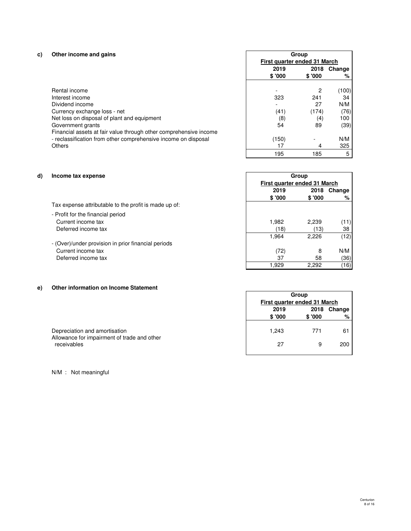# **c) Other income and gains**

| Other income and gains                                            |         | Group                        |        |  |  |
|-------------------------------------------------------------------|---------|------------------------------|--------|--|--|
|                                                                   |         | First quarter ended 31 March |        |  |  |
|                                                                   | 2019    | 2018                         | Change |  |  |
|                                                                   | \$ '000 | \$ '000                      | %      |  |  |
| Rental income                                                     |         | 2                            | (100)  |  |  |
| Interest income                                                   | 323     | 241                          | 34     |  |  |
| Dividend income                                                   |         | 27                           | N/M    |  |  |
| Currency exchange loss - net                                      | (41)    | (174)                        | (76)   |  |  |
| Net loss on disposal of plant and equipment                       | (8)     | (4)                          | 100    |  |  |
| Government grants                                                 | 54      | 89                           | (39)   |  |  |
| Financial assets at fair value through other comprehensive income |         |                              |        |  |  |
| - reclassification from other comprehensive income on disposal    | (150)   |                              | N/M    |  |  |
| Others                                                            |         | 4                            | 325    |  |  |

(111) (195 185 5

**2019 2018 Change**

**Group First quarter ended 31 March**

2,226 1,964 (12)

2,292 1,929 (16)

**Group Group**

**\$ '000 \$ '000 %**

## **d) Income tax expense**

| Tax expense attributable to the profit is made up of: |  |
|-------------------------------------------------------|--|

- Profit for the financial period Current income tax 1,982 2,239 (11) Deferred income tax (13) 38
- (Over)/under provision in prior financial periods Current income tax and the set of the set of the set of the set of the set of the set of the SN/M (72) and  $\sim$  8 (72) and 8 (72) and 8 (72) and 8 (72) and 8 (72) and 8 (72) and 9 (72) and 9 (72) and 9 (72) and 9 (72) and Deferred income tax  $\frac{37}{1,929} = \frac{58}{2,292} = \frac{(36)}{(16)}$

## **e) Other information on Income Statement**

|                                                                                             |                | First quarter ended 31 March |     |  |
|---------------------------------------------------------------------------------------------|----------------|------------------------------|-----|--|
|                                                                                             | 2019<br>\$'000 | 2018 Change<br>\$'000        |     |  |
| Depreciation and amortisation<br>Allowance for impairment of trade and other<br>receivables | 1.243          | 771                          | 61  |  |
|                                                                                             | 27             |                              | 200 |  |

N/M : Not meaningful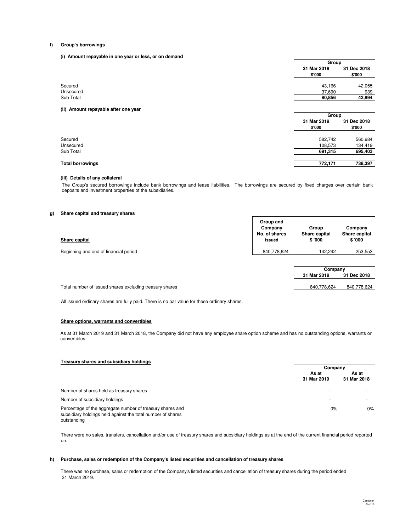#### **f) Group's borrowings**

**(i) Amount repayable in one year or less, or on demand**

|                      | Group                 |                       |
|----------------------|-----------------------|-----------------------|
|                      | 31 Mar 2019<br>\$'000 | 31 Dec 2018<br>\$'000 |
| Secured<br>Unsecured | 43,166<br>37,690      | 42,055<br>939         |
| Sub Total            | 80,856                | 42,994                |

**(ii) Amount repayable after one year**

|                         | uroup       |             |
|-------------------------|-------------|-------------|
|                         | 31 Mar 2019 | 31 Dec 2018 |
|                         | \$'000      | \$'000      |
|                         |             |             |
| Secured                 | 582,742     | 560,984     |
|                         | 108,573     | 134,419     |
|                         | 691,315     | 695,403     |
|                         | 772,171     | 738,397     |
| <b>Total borrowings</b> |             |             |

### **(iii) Details of any collateral**

The Group's secured borrowings include bank borrowings and lease liabilities. The borrowings are secured by fixed charges over certain bank deposits and investment properties of the subsidiaries.

### **g) Share capital and treasury shares**

| Share capital                         | Group and<br>Company<br>No. of shares<br>issued | Group<br>Share capital<br>\$'000 | Company<br>Share capital<br>\$ '000 |
|---------------------------------------|-------------------------------------------------|----------------------------------|-------------------------------------|
| Beginning and end of financial period | 840,778,624                                     | 142.242                          | 253,553                             |

| Company     |             |  |  |
|-------------|-------------|--|--|
| 31 Mar 2019 | 31 Dec 2018 |  |  |
|             |             |  |  |
| 840.778.624 | 840.778.624 |  |  |

**Group**

Total number of issued shares excluding treasury shares

All issued ordinary shares are fully paid. There is no par value for these ordinary shares.

#### **Share options, warrants and convertibles**

As at 31 March 2019 and 31 March 2018, the Company did not have any employee share option scheme and has no outstanding options, warrants or convertibles.

## **Treasury shares and subsidiary holdings**

|                                                                                                                                         | Company                  |             |
|-----------------------------------------------------------------------------------------------------------------------------------------|--------------------------|-------------|
|                                                                                                                                         | As at                    | As at       |
|                                                                                                                                         | 31 Mar 2019              | 31 Mar 2018 |
| Number of shares held as treasury shares                                                                                                |                          |             |
| Number of subsidiary holdings                                                                                                           | $\overline{\phantom{a}}$ |             |
| Percentage of the aggregate number of treasury shares and<br>subsidiary holdings held against the total number of shares<br>outstanding | 0%                       | 0%          |

There were no sales, transfers, cancellation and/or use of treasury shares and subsidiary holdings as at the end of the current financial period reported on.

#### **h) Purchase, sales or redemption of the Company's listed securities and cancellation of treasury shares**

There was no purchase, sales or redemption of the Company's listed securities and cancellation of treasury shares during the period ended 31 March 2019.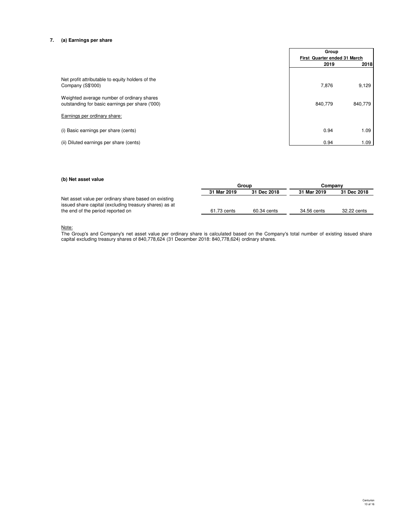## **7. (a) Earnings per share**

|                                                                                               | Group                        |         |
|-----------------------------------------------------------------------------------------------|------------------------------|---------|
|                                                                                               | First Quarter ended 31 March |         |
|                                                                                               | 2019                         | 2018    |
| Net profit attributable to equity holders of the                                              |                              |         |
| Company (S\$'000)                                                                             | 7,876                        | 9,129   |
| Weighted average number of ordinary shares<br>outstanding for basic earnings per share ('000) | 840,779                      | 840,779 |
| Earnings per ordinary share:                                                                  |                              |         |
| (i) Basic earnings per share (cents)                                                          | 0.94                         | 1.09    |
| (ii) Diluted earnings per share (cents)                                                       | 0.94                         | 1.09    |

#### **(b) Net asset value**

|                                                        | Group       |             | Companv     |             |
|--------------------------------------------------------|-------------|-------------|-------------|-------------|
|                                                        | 31 Mar 2019 | 31 Dec 2018 | 31 Mar 2019 | 31 Dec 2018 |
| Net asset value per ordinary share based on existing   |             |             |             |             |
| issued share capital (excluding treasury shares) as at |             |             |             |             |
| the end of the period reported on                      | 61.73 cents | 60.34 cents | 34.56 cents | 32.22 cents |

#### <u>Note:</u>

The Group's and Company's net asset value per ordinary share is calculated based on the Company's total number of existing issued share capital excluding treasury shares of 840,778,624 (31 December 2018: 840,778,624) ordinary shares.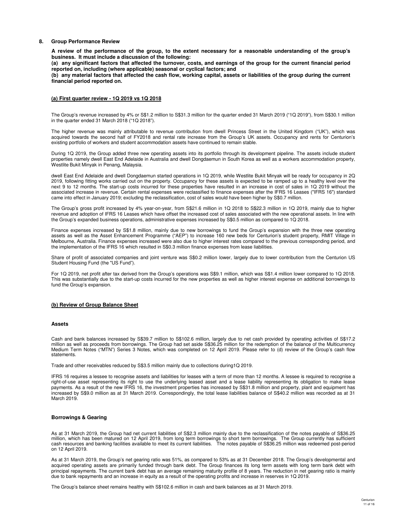#### **8. Group Performance Review**

**A review of the performance of the group, to the extent necessary for a reasonable understanding of the group's business. It must include a discussion of the following:**

**(a) any significant factors that affected the turnover, costs, and earnings of the group for the current financial period reported on, including (where applicable) seasonal or cyclical factors; and**

**(b) any material factors that affected the cash flow, working capital, assets or liabilities of the group during the current financial period reported on.**

#### **(a) First quarter review - 1Q 2019 vs 1Q 2018**

The Group's revenue increased by 4% or S\$1.2 million to S\$31.3 million for the quarter ended 31 March 2019 ("1Q 2019"), from S\$30.1 million in the quarter ended 31 March 2018 ("1Q 2018").

The higher revenue was mainly attributable to revenue contribution from dwell Princess Street in the United Kingdom ("UK"), which was acquired towards the second half of FY2018 and rental rate increase from the Group's UK assets. Occupancy and rents for Centurion's existing portfolio of workers and student accommodation assets have continued to remain stable.

During 1Q 2019, the Group added three new operating assets into its portfolio through its development pipeline. The assets include student properties namely dwell East End Adelaide in Australia and dwell Dongdaemun in South Korea as well as a workers accommodation property, Westlite Bukit Minyak in Penang, Malaysia.

dwell East End Adelaide and dwell Dongdaemun started operations in 1Q 2019, while Westlite Bukit Minyak will be ready for occupancy in 2Q 2019, following fitting works carried out on the property. Occupancy for these assets is expected to be ramped up to a healthy level over the next 9 to 12 months. The start-up costs incurred for these properties have resulted in an increase in cost of sales in 1Q 2019 without the associated increase in revenue. Certain rental expenses were reclassified to finance expenses after the IFRS 16 Leases ("IFRS 16") standard came into effect in January 2019; excluding the reclassification, cost of sales would have been higher by S\$0.7 million.

The Group's gross profit increased by 4% year-on-year, from S\$21.6 million in 1Q 2018 to S\$22.3 million in 1Q 2019, mainly due to higher revenue and adoption of IFRS 16 Leases which have offset the increased cost of sales associated with the new operational assets. In line with the Group's expanded business operations, administrative expenses increased by S\$0.5 million as compared to 1Q 2018.

Finance expenses increased by S\$1.8 million, mainly due to new borrowings to fund the Group's expansion with the three new operating assets as well as the Asset Enhancement Programme ("AEP") to increase 160 new beds for Centurion's student property, RMIT Village in Melbourne, Australia. Finance expenses increased were also due to higher interest rates compared to the previous corresponding period, and the implementation of the IFRS 16 which resulted in S\$0.3 million finance expenses from lease liabilities.

Share of profit of associated companies and joint venture was S\$0.2 million lower, largely due to lower contribution from the Centurion US Student Housing Fund (the "US Fund").

For 1Q 2019, net profit after tax derived from the Group's operations was S\$9.1 million, which was S\$1.4 million lower compared to 1Q 2018. This was substantially due to the start-up costs incurred for the new properties as well as higher interest expense on additional borrowings to fund the Group's expansion.

#### **(b) Review of Group Balance Sheet**

#### **Assets**

Cash and bank balances increased by S\$39.7 million to S\$102.6 million, largely due to net cash provided by operating activities of S\$17.2 million as well as proceeds from borrowings. The Group had set aside S\$36.25 million for the redemption of the balance of the Multicurrency<br>Medium Term Notes ("MTN") Series 3 Notes, which was completed on 12 April 2019. Pl statements.

Trade and other receivables reduced by S\$3.5 million mainly due to collections during1Q 2019.

IFRS 16 requires a lessee to recognise assets and liabilities for leases with a term of more than 12 months. A lessee is required to recognise a right-of-use asset representing its right to use the underlying leased asset and a lease liability representing its obligation to make lease payments. As a result of the new IFRS 16, the investment properties has increased by S\$31.8 million and property, plant and equipment has increased by S\$9.0 million as at 31 March 2019. Correspondingly, the total lease liabilities balance of S\$40.2 million was recorded as at 31 March 2019.

#### **Borrowings & Gearing**

As at 31 March 2019, the Group had net current liabilities of S\$2.3 million mainly due to the reclassification of the notes payable of S\$36.25 million, which has been matured on 12 April 2019, from long term borrowings to short term borrowings. The Group currently has sufficient<br>cash resources and banking facilities available to meet its current liabilities. The on 12 April 2019.

As at 31 March 2019, the Group's net gearing ratio was 51%, as compared to 53% as at 31 December 2018. The Group's developmental and acquired operating assets are primarily funded through bank debt. The Group finances its long term assets with long term bank debt with principal repayments. The current bank debt has an average remaining maturity profile of 8 years. The reduction in net gearing ratio is mainly due to bank repayments and an increase in equity as a result of the operating profits and increase in reserves in 1Q 2019.

The Group's balance sheet remains healthy with S\$102.6 million in cash and bank balances as at 31 March 2019.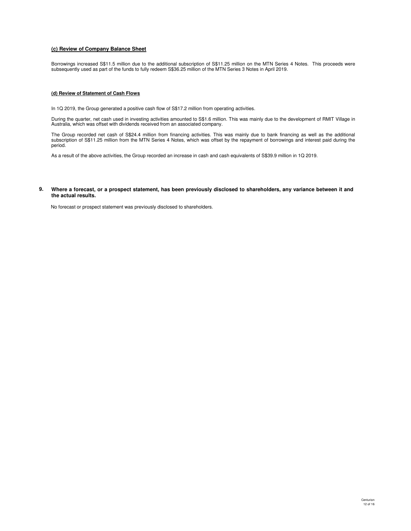## **(c) Review of Company Balance Sheet**

Borrowings increased S\$11.5 million due to the additional subscription of S\$11.25 million on the MTN Series 4 Notes. This proceeds were subsequently used as part of the funds to fully redeem S\$36.25 million of the MTN Series 3 Notes in April 2019.

### **(d) Review of Statement of Cash Flows**

In 1Q 2019, the Group generated a positive cash flow of S\$17.2 million from operating activities.

During the quarter, net cash used in investing activities amounted to S\$1.6 million. This was mainly due to the development of RMIT Village in Australia, which was offset with dividends received from an associated company.

The Group recorded net cash of S\$24.4 million from financing activities. This was mainly due to bank financing as well as the additional subscription of S\$11.25 million from the MTN Series 4 Notes, which was offset by the repayment of borrowings and interest paid during the period.

As a result of the above activities, the Group recorded an increase in cash and cash equivalents of S\$39.9 million in 1Q 2019.

#### **9. Where a forecast, or a prospect statement, has been previously disclosed to shareholders, any variance between it and the actual results.**

No forecast or prospect statement was previously disclosed to shareholders.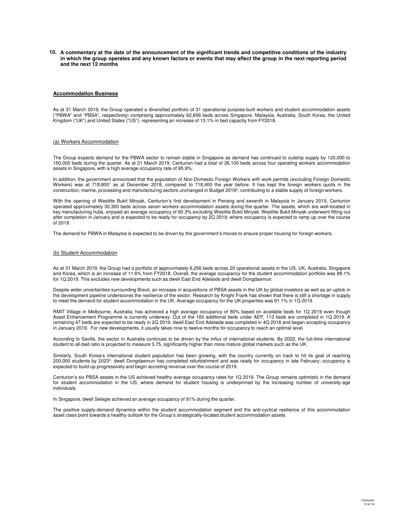**10. A commentary at the date of the announcement of the significant trends and competitive conditions of the industry in which the group operates and any known factors or events that may affect the group in the next reporting period and the next 12 months**

#### **Accommodation Business**

As at 31 March 2019, the Group operated a diversified portfolio of 31 operational purpose-built workers and student accommodation assets ("PBWA" and "PBSA", respectively) comprising approximately 62,656 beds across Singapore, Malaysia, Australia, South Korea, the United Kingdom ("UK") and United States ("US"), representing an increase of 13.1% in bed capacity from FY2018.

#### (a) Workers Accommodation

The Group expects demand for the PBWA sector to remain stable in Singapore as demand has continued to outstrip supply by 120,000 to 150,000 beds during the quarter. As at 31 March 2019, Centurion had a total of 26,100 beds across four operating workers accommodation assets in Singapore, with a high average occupancy rate of 95.9%.

In addition, the government announced that the population of Non-Domestic Foreign Workers with work permits (excluding Foreign Domestic Workers) was at 718,800<sup>1</sup> as at December 2018, compared to 718,400 the year before. It has kept the foreign workers quota in the construction, marine, processing and manufacturing sectors unchanged in Budget 2019<sup>2</sup>, contributing to a stable supply of foreign workers.

With the opening of Westlite Bukit Minyak, Centurion's first development in Penang and seventh in Malaysia in January 2019, Centurion operated approximately 30,300 beds across seven workers accommodation assets during the quarter. The assets, which are well-located in key manufacturing hubs, enjoyed an average occupancy of 90.3% excluding Westlite Bukit Minyak. Westlite Bukit Minyak underwent fitting out after completion in January and is expected to be ready for occupancy by 2Q 2019; where occupancy is expected to ramp up over the course of 2019.

The demand for PBWA in Malaysia is expected to be driven by the government's moves to ensure proper housing for foreign workers.

#### (b) Student Accommodation

As at 31 March 2019, the Group had a portfolio of approximately 6,256 beds across 20 operational assets in the US, UK, Australia, Singapore and Korea, which is an increase of 11.6% from FY2018. Overall, the average occupancy for the student accommodation portfolio was 88.1% for 1Q 2019. This excludes new developments such as dwell East End Adelaide and dwell Dongdaemun.

Despite wider uncertainties surrounding Brexit, an increase in acquisitions of PBSA assets in the UK by global investors as well as an uptick in the development pipeline underscores the resilience of the sector. Research by Knight Frank has shown that there is still a shortage in supply to meet the demand for student accommodation in the UK. Average occupancy for the UK properties was 91.1% in 1Q 2019.

RMIT Village in Melbourne, Australia, has achieved a high average occupancy of 80% based on available beds for 1Q 2019 even though Asset Enhancement Programme is currently underway. Out of the 160 additional beds under AEP, 113 beds are completed in 1Q 2019. A remaining 47 beds are expected to be ready in 2Q 2019. dwell East End Adelaide was completed in 4Q 2018 and began accepting occupancy in January 2019. For new developments, it usually takes nine to twelve months for occupancy to reach an optimal level.

According to Savills, the sector in Australia continues to be driven by the influx of international students. By 2022, the full-time international student to all-bed ratio is projected to measure 3.75, significantly higher than more mature global markets such as the UK.

Similarly, South Korea's international student population has been growing, with the country currently on track to hit its goal of reaching 200,000 students by 2023<sup>3</sup>. dwell Dongdaemun has completed refurbishment and was ready for occupancy in late February; occupancy is expected to build up progressively and begin accreting revenue over the course of 2019.

Centurion's six PBSA assets in the US achieved healthy average occupancy rates for 1Q 2019. The Group remains optimistic in the demand for student accommodation in the US, where demand for student housing is underpinned by the increasing number of university-age individuals.

In Singapore, dwell Selegie achieved an average occupancy of 91% during the quarter.

The positive supply-demand dynamics within the student accommodation segment and the anti-cyclical resilience of this accommodation asset class point towards a healthy outlook for the Group's strategically-located student accommodation assets.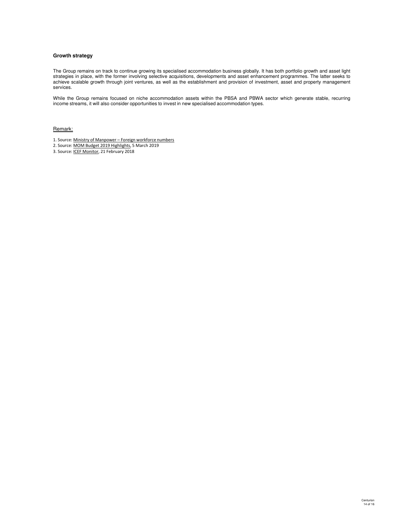## **Growth strategy**

The Group remains on track to continue growing its specialised accommodation business globally. It has both portfolio growth and asset light strategies in place, with the former involving selective acquisitions, developments and asset enhancement programmes. The latter seeks to achieve scalable growth through joint ventures, as well as the establishment and provision of investment, asset and property management services.

While the Group remains focused on niche accommodation assets within the PBSA and PBWA sector which generate stable, recurring income streams, it will also consider opportunities to invest in new specialised accommodation types.

Remark:

- 1. Source: Ministry of Manpower Foreign workforce numbers
- 2. Source: MOM Budget 2019 Highlights, 5 March 2019
- 3. Source: ICEF Monitor, 21 February 2018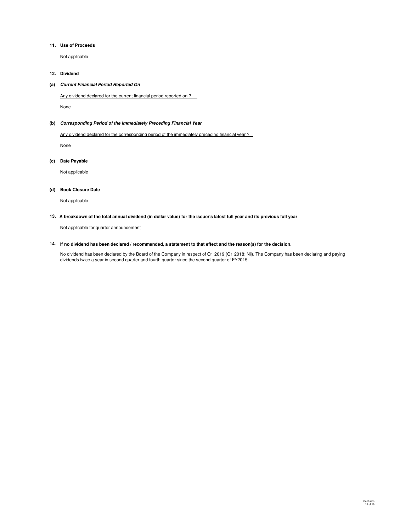### **11. Use of Proceeds**

Not applicable

### **12. Dividend**

### **(a) Current Financial Period Reported On**

Any dividend declared for the current financial period reported on ?

None

### **(b) Corresponding Period of the Immediately Preceding Financial Year**

Any dividend declared for the corresponding period of the immediately preceding financial year?

None

#### **(c) Date Payable**

Not applicable

#### **(d) Book Closure Date**

Not applicable

#### **13. A breakdown of the total annual dividend (in dollar value) for the issuer's latest full year and its previous full year**

Not applicable for quarter announcement

#### **14. If no dividend has been declared / recommended, a statement to that effect and the reason(s) for the decision.**

No dividend has been declared by the Board of the Company in respect of Q1 2019 (Q1 2018: Nil). The Company has been declaring and paying dividends twice a year in second quarter and fourth quarter since the second quarter of FY2015.